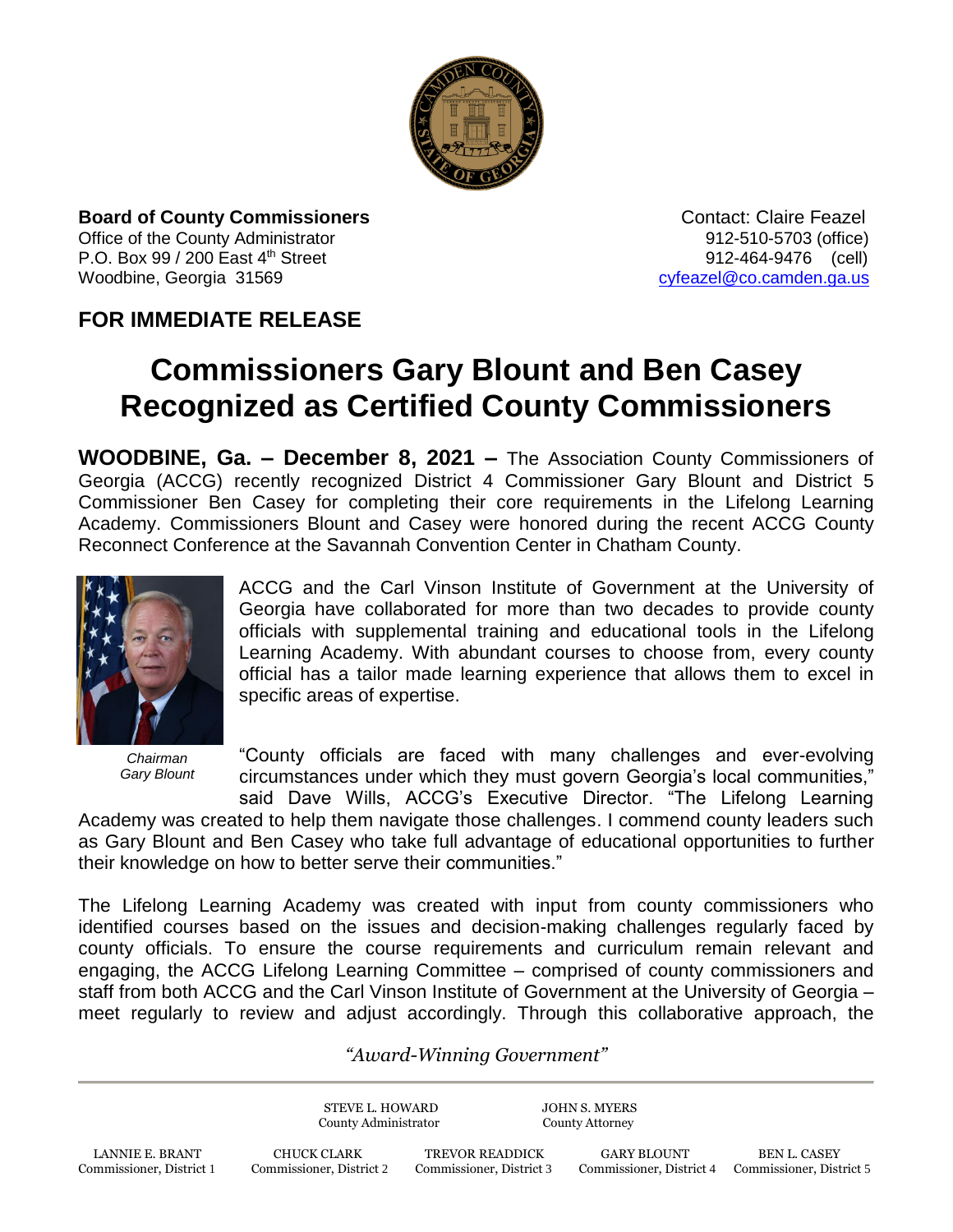

**Board of County Commissioners** *CONTACTER CONTACTER CONTACTER CONTACTER CONTACTER CONTACTER CONTACTER CONTACTER CONTACTER CONTACTER CONTACTER CONTACTER CONTACTER CONTACTER CONTACTER CONTACTER CONTACTER CONTACTER CONTACTE* Office of the County Administrator **912-510-5703** (office) P.O. Box 99 / 200 East 4<sup>th</sup> Street 912-464-9476 (cell) Woodbine, Georgia 31569 [cyfeazel@co.camden.ga.us](mailto:cyfeazel@co.camden.ga.us)

## **FOR IMMEDIATE RELEASE**

## **Commissioners Gary Blount and Ben Casey Recognized as Certified County Commissioners**

**WOODBINE, Ga. – December 8, 2021 –** The Association County Commissioners of Georgia (ACCG) recently recognized District 4 Commissioner Gary Blount and District 5 Commissioner Ben Casey for completing their core requirements in the Lifelong Learning Academy. Commissioners Blount and Casey were honored during the recent ACCG County Reconnect Conference at the Savannah Convention Center in Chatham County.



*Chairman Gary Blount*

ACCG and the Carl Vinson Institute of Government at the University of Georgia have collaborated for more than two decades to provide county officials with supplemental training and educational tools in the Lifelong Learning Academy. With abundant courses to choose from, every county official has a tailor made learning experience that allows them to excel in specific areas of expertise.

"County officials are faced with many challenges and ever-evolving circumstances under which they must govern Georgia's local communities,"

said Dave Wills, ACCG's Executive Director. "The Lifelong Learning Academy was created to help them navigate those challenges. I commend county leaders such as Gary Blount and Ben Casey who take full advantage of educational opportunities to further their knowledge on how to better serve their communities."

The Lifelong Learning Academy was created with input from county commissioners who identified courses based on the issues and decision-making challenges regularly faced by county officials. To ensure the course requirements and curriculum remain relevant and engaging, the ACCG Lifelong Learning Committee – comprised of county commissioners and staff from both ACCG and the Carl Vinson Institute of Government at the University of Georgia – meet regularly to review and adjust accordingly. Through this collaborative approach, the

## *"Award-Winning Government"*

STEVE L. HOWARD JOHN S. MYERS County Administrator County Attorney